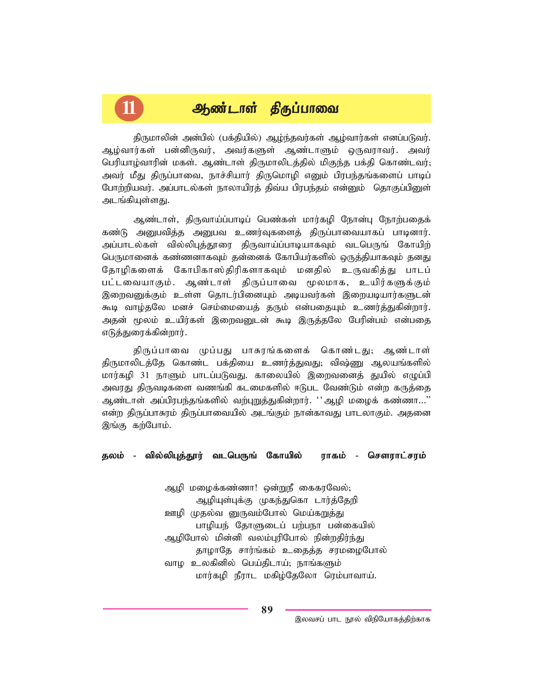# 11 <u>ஆண்டாள்</u> திருப்பாவை

திருமாலின் அன்பில் (பக்தியில்) ஆழ்ந்தவர்கள் ஆழ்வார்கள் எனப்படுவர். ஆழ்வார்கள் பன்னிருவர், அவர்களுள் ஆண்டாளும் ஒருவராவர். அவர் *ngupaho;thupd; kfs;. Mz;lhs; jpUkhyplj;jpy; kpFe;j gf;jp nfhz;ltu;@* அவர் மீது திருப்பாவை, நாச்சியார் திருமொழி எனும் பிரபந்தங்களைப் பாடிப் போற்றியவர். அப்பாடல்கள் நாலாயிரக் கிவ்ய பிரபந்கம் என்னும் கொகுப்பினுள் அடங்கியுள்ளது.

ஆண்டாள், திருவாய்ப்பாடிப் பெண்கள் மார்கழி நோன்பு நோற்பதைக் கண்டு அனுபவித்த அனுபவ உணர்வுகளைத் திருப்பாவையாகப் பாடினார். அப்பாடல்கள் வில்லிபுத்தூரை திருவாய்ப்பாடியாகவும் வடபெருங் கோயிற் பெருமானைக் கண்ணனாகவும் தன்னைக் கோபியர்களில் ஒருத்தியாகவும் தனது தோழிகளைக் கோபிகாஸ்திரிகளாகவும் மனதில் உருவகித்து பாடப் பட்டவையாகும். ஆண்டாள் திருப்பாவை மூலமாக, உயிர்களுக்கும் இறைவனுக்கும் உள்ள தொடர்பினையும் அடியவர்கள் இறையடியார்களுடன் கூடி வாழ்தலே மனச் செம்மையைத் தரும் என்பதையும் உணர்த்துகின்றார். அதன் மூலம் உயிர்கள் இறைவனுடன் கூடி இருத்தலே பேரின்பம் என்பதை எடுத்துரைக்கின்றார்.

கிருப்பாவை முப்பது பாசுரங்களைக் கொண்டது; ஆண்டாள் திருமாலிடத்தே கொண்ட பக்தியை உணர்த்துவது; விஷ்ணு ஆலயங்களில் மார்கழி 31 நாளும் பாடப்படுவது. காலையில் இறைவனைத் துயில் எழுப்பி அவரது திருவடிகளை வணங்கி கடமைகளில் ஈடுபட வேண்டும் என்ற கருத்தை ஆண்டாள் அப்பிரபந்தங்களில் வற்புறுத்துகின்றார். ''ஆழி மழைக் கண்ணா...'' என்ற திருப்பாசுரம் திருப்பாவையில் அடங்கும் நான்காவது பாடலாகும். அதனை இங்கு கற்போம்.

#### *jyk; - tpy;ypGj;J}u; tlngUq; Nfhapy; tpy;ypGj;J}u; - tlngUq; uhfk; - nrsuhl;ruk;*

ஆழி மழைக்கண்ணா! ஒன்றுநீ கைகரவேல்<u>;</u> ஆழியுள்புக்கு முகந்துகொ டார்த்தேறி <u>ஊழி</u> முதல்வ னுருவம்போல் மெய்கறுத்து பாழியந் தோளுடைப் பற்பநா பன்கையில் ஆழிபோல் மின்னி வலம்புரிபோல் நின்றதிர்ந்து தாழாதே சார்ங்கம் உதைத்த சரமழைபோல் வாழ உலகினில் பெய்திடாய்; நாங்களும் **மார்கழி நீராட மகிழ்தேலோ ரெம்பாவாய்.** 

இலவசப் பாட நூல் விநியோகத்திற்காக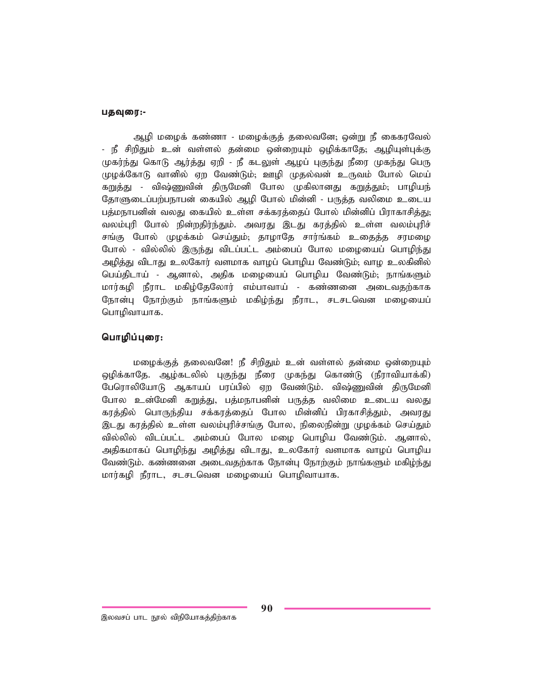#### பதவுரை:-

ஆழி மழைக் கண்ணா - மழைக்குத் தலைவனே; ஒன்று நீ கைகரவேல் <u>- நீ சிறிதும் உ</u>ன் வள்ளல் தன்மை ஒன்றையும் ஒழிக்காதே; ஆழியுள்புக்கு முகர்ந்து கொடு ஆர்த்து ஏறி - நீ கடலுள் ஆழப் புகுந்து நீரை முகந்து பெரு முழக்கோடு வானில் ஏற வேண்டும்; ஊழி முதல்வன் உருவம் போல் மெய் கறுத்து - விஷ்ணுவின் திருமேனி போல முகிலானது கறுத்தும்; பாழியந் தோளுடைப்பற்பநாபன் கையில் ஆமி போல் மின்னி - பருத்த வலிமை உடைய பத்மநாபனின் வலது கையில் உள்ள சக்கரத்தைப் போல் மின்னிப் பிராகாசித்<u>து;</u> வலம்புரி போல் நின்றதிர்ந்தும். அவரது இடது கரத்தில் உள்ள வலம்புரிச் சங்கு போல் முழக்கம் செய்தும்; தாழாதே சார்ங்கம் உதைத்த சரமழை போல் - வில்லில் இருந்து விடப்பட்ட அம்பைப் போல மழையைப் பொழிந்து அழித்து விடாது உலகோர் வளமாக வாழப் பொழிய வேண்டும்; வாழ உலகினில் பெய்திடாய் - ஆனால், அதிக மழையைப் பொழிய வேண்டும்<del>,</del> நாங்களும் மார்கழி நீராட மகிழ்தேலோர் எம்பாவாய் - கண்ணனை அடைவதற்காக நோன்பு நோற்கும் நாங்களும் மகிழ்ந்து நீராட, சடசடவென மழையைப் *nghopthahf.*

### *nghopg;Giu:*

மழைக்குத் தலைவனே! நீ சிறிதும் உன் வள்ளல் தன்மை ஒன்றையும் ஒழிக்காதே. ஆழ்கடலில் புகுந்து நீரை முகந்து கொண்டு (நீராவியாக்கி) பேரொலியோடு ஆகாயப் பரப்பில் ஏற வேண்டும். விஷ்ணுவின் திருமேனி போல உன்மேனி கறுத்து, பத்மநாபனின் பருத்த வலிமை உடைய வலது கரத்தில் பொருந்திய சக்கரத்தைப் போல மின்னிப் பிரகாசித்தும், அவரது இடது கரத்தில் உள்ள வலம்புரிச்சங்கு போல, நிலைநின்று முழக்கம் செய்தும் வில்லில் விடப்பட்ட அம்பைப் போல மழை பொழிய வேண்டும். ஆனால், அதிகமாகப் பொழிந்து அழித்து விடாது, உலகோர் வளமாக வாழப் பொழிய வேண்டும். கண்ணனை அடைவதற்காக நோன்பு நோற்கும் நாங்களும் மகிழ்ந்து மார்கழி நீராட, சடசடவென மழையைப் பொழிவாயாக.